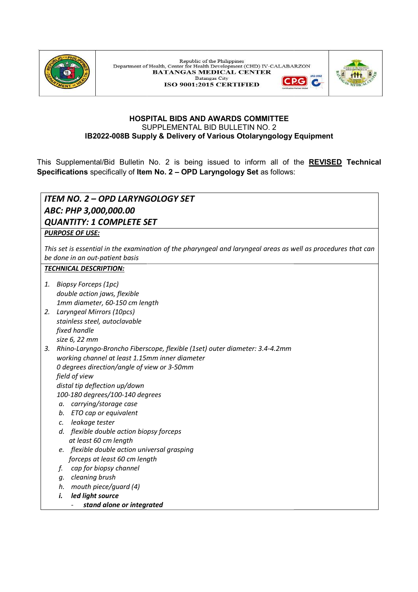

Republic of the Philippines Department of Health, Center for Health Development (CHD) IV-CALABARZON BATANGAS MEDICAL CENTER **Batangas City**  $PGI$ ISO 9001:2015 CERTIFIED



## HOSPITAL BIDS AND AWARDS COMMITTEE SUPPLEMENTAL BID BULLETIN NO. 2 IB2022-008B Supply & Delivery of Various Otolaryngology Equipment

This Supplemental/Bid Bulletin No. 2 is being issued to inform all of the <u>REVISED</u> Tech**nical Specifications** specifically of **Item No. 2 – OPD Laryngology Set** as follows:

# ITEM NO. 2 – OPD LARYNGOLOGY SET ABC: PHP 3,000,000.00 QUANTITY: 1 COMPLETE SET 1 PURPOSE OF USE: This set is essential in the examination of the pharyngeal and laryngeal areas as well as procedures that can This set is essential in the examination of the pharyngeal and laryngeal areas as well as procedures that can be done in an out-patient basis TECHNICAL DESCRIPTION: 1. Biopsy Forceps (1pc) double action jaws, flexible 1mm diameter, 60-150 cm length 2. Laryngeal Mirrors (10pcs) stainless steel, autoclavable fixed handle size 6, 22 mm 3. Rhino-Laryngo-Broncho Fiberscope, flexible (1set) outer diameter: 3.4 working channel at least 1.15mm inner diameter working channel at least 1.15mm inner diame<br>0 degrees direction/angle of view or 3-50mm field of view distal tip deflection up/down 100-180 degrees/100-140 degrees a. carrying/storage case b. ETO cap or equivalent c. leakage tester d. flexible double action biopsy forceps at least 60 cm length e. flexible double action universal grasping forceps at least 60 cm length f. cap for biopsy channel g. cleaning brush h. mouth piece/guard (4) i. led light source stand alone or integrated essential in the examination of the pharyngeal and laryngeal areas as well as procedures that can<br>an out-patient basis<br>**L DESCRIPTION:**<br>Forceps (1pc)<br>reaction jaws, flexible<br>gard Mirrors (10pcs)<br>peal Mirrors (10pcs)<br>sss st 008B Supply & Delivery of Various Otolaryngology Equipment<br>14 Bulletin No. 2 is being issued to inform all of the <u>REVISED</u> Technical<br>cally of Item No. 2 - OPD Laryngology Set as follows:<br>20 LARYNGOLOGY SET<br>10 ARVNGOLOGY S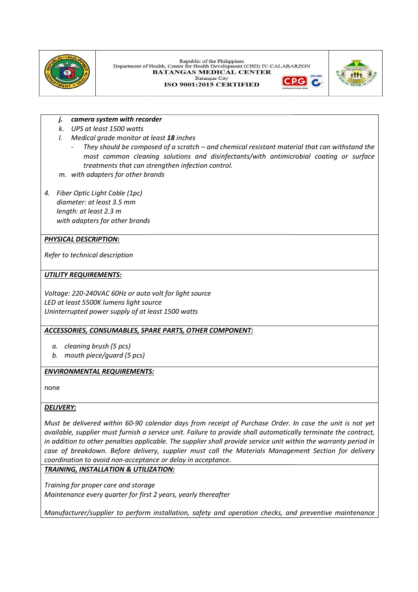

Republic of the Philippines Department of Health, Center for Health Development (CHD) IV-CALABARZON BATANGAS MEDICAL CENTER **Batangas City**  $|P G|$ 

ISO 9001:2015 CERTIFIED



#### j. camera system with recorder

- k. UPS at least 1500 watts
- l. Medical grade monitor at least 18 inches
	- They should be composed of a scratch  $-$  and chemical resistant material that can withstand the most common cleaning solutions and disinfectants/with antimicrobial coating or surface | treatments that can strengthen infection control. most common cleaning solutions and disinfectants/with antimicrobial coating or<br>reatments that can strengthen infection control.<br>adapters for other brands<br>ic Light Cable (1pc)<br>c at least 3.5 mm<br>letes for other brands<br>**SCRIP**
- m. with adapters for other brands
- 4. Fiber Optic Light Cable (1pc) diameter: at least 3.5 mm length: at least 2.3 m with adapters for other brands

#### PHYSICAL DESCRIPTION:

Refer to technical description

#### UTILITY REQUIREMENTS:

Voltage: 220-240VAC 60Hz or auto volt for light source LED at least 5500K lumens light source Uninterrupted power supply of at least 1500 watts

## ACCESSORIES, CONSUMABLES, SPARE PARTS, OTHER COMPONENT COMPONENT:

- a. cleaning brush (5 pcs)
- b. mouth piece/guard (5 pcs)

#### <u>ENVIRONMENTAL REQUIREMENTS:</u>

none

#### DELIVERY:

Must be delivered within 60-90 calendar days from receipt of Purchase Order. In case the unit is not yet  $\vert$ available, supplier must furnish a service unit. Failure to provide shall automatically terminate the contract,  $\mid$ in addition to other penalties applicable. The supplier shall provide service unit withi case of breakdown. Before delivery, supplier must call the Materials Management Section for delivery case of breakdown. Before delivery, supplier must call the Materials Management Section for delivery coordination to avoid non-acceptance or delay in acceptance. rnish a service unit. Failure to provide shall automatically<br>ies applicable. The supplier shall provide service unit withir<br>re delivery, supplier must call the Materials Manageme<br>acceptance or delay in acceptance. and chemical resistant material that can withstand the<br>disinfectants/with antimicrobial cooting or surface<br>control.<br><br><br>receipt of Purchase Order. In case the unit is not yet<br>to provide shall unutmatically terminate the cont in addition to other penalties applicable. The supplier shall provide service unit within the warranty period in  $\mid$ 

## TRAINING, INSTALLATION & UTILIZATION:

Training for proper care and storage Maintenance every quarter for first 2 years, yearly thereafter

Manufacturer/supplier to perform installation, safety and operation checks, and preventive maintenance Manufacturer/supplier to perform installation, safety and operation checks, and preventive maintenance